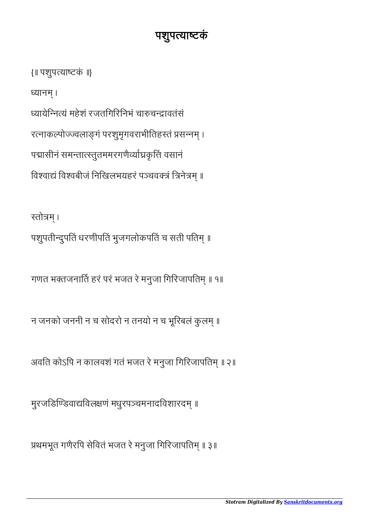प्रथमभूत गणैरपि सेवितं भजत रे मनुजा गिरिजापतिम् ॥ ३॥

मुरजङिण्डिवाद्यविलक्षणं मधुरपञ्चमनादविशारदम् ॥

अवति कोऽपि न कालवशं गतं भजत रे मनुजा गिरिजापतिम् ॥ २॥

न जनको जननी न च सोदरो न तनयो न च भूरिबलं कुलम् ॥

गणत भक्तजनार्ति हरं परं भजत रे मनुजा गिरिजापतिम् ॥ १॥

स्तोत्रम्। पशुपतीन्दुपतिं धरणीपतिं भुजगलोकपतिं च सती पतिम् ॥

{॥ पशुपयाटकं ॥} ध्यानम । यायेिनयं महेशं रजतिगिरिनभं चाचावतंसं रत्नाकल्पोज्ज्वलाङ्गं परशुमृगवराभीतिहस्तं प्रसन्नम् । पद्मासीनं समन्तात्स्तुतममरगणैर्व्याघ्रकृत्तिं वसानं विश्वाद्यं विश्वबीजं निखिलभयहरं पञ्चवक्त्रं त्रिनेत्रम् ॥

## पशुपयाटकं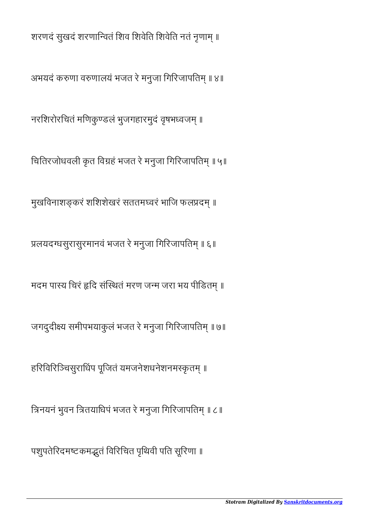शरणदं सुखदं शरणान्वितं शिव शिवेति शिवेति नतं नृणाम् ॥

अभयदं करुणा वरुणालयं भजत रे मनुजा गिरिजापतिम् ॥ ४॥

नरशिरोरचितं मणिकुण्डलं भुजगहारमुदं वृषभध्वजम् ॥

चितिरजोधवली कृत विग्रहं भजत रे मनुजा गिरिजापतिम् ॥ ५॥

मुखविनाशङ्करं शशिशेखरं सततमध्वरं भाजि फलप्रदम् ॥

प्रलयदग्धसुरासुरमानवं भजत रे मनुजा गिरिजापतिम् ॥ ६॥

मदम पास्य चिरं हृदि संस्थितं मरण जन्म जरा भय पीडितम् ॥

जगदुदीक्ष्य समीपभयाकुलं भजत रे मनुजा गिरिजापतिम् ॥ ७॥

हरिविरिञ्चिसुराधिंप पूजितं यमजनेशधनेशनमस्कृतम् ॥

त्रिनयनं भुवन त्रितयाधिपं भजत रे मनुजा गिरिजापतिम् ॥ ८॥

पशुपतेरिदमष्टकमद्भुतं विरिचित पृथिवी पति सूरिणा ॥